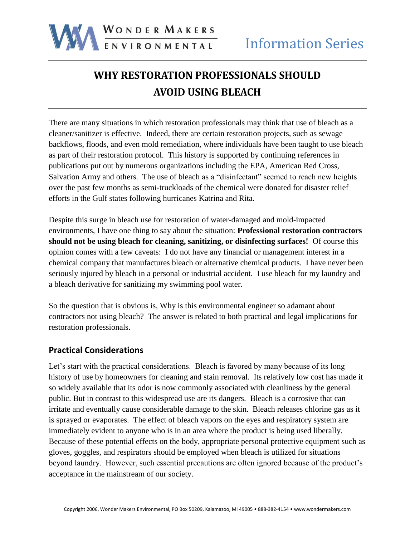

# **WHY RESTORATION PROFESSIONALS SHOULD AVOID USING BLEACH**

There are many situations in which restoration professionals may think that use of bleach as a cleaner/sanitizer is effective. Indeed, there are certain restoration projects, such as sewage backflows, floods, and even mold remediation, where individuals have been taught to use bleach as part of their restoration protocol. This history is supported by continuing references in publications put out by numerous organizations including the EPA, American Red Cross, Salvation Army and others. The use of bleach as a "disinfectant" seemed to reach new heights over the past few months as semi-truckloads of the chemical were donated for disaster relief efforts in the Gulf states following hurricanes Katrina and Rita.

Despite this surge in bleach use for restoration of water-damaged and mold-impacted environments, I have one thing to say about the situation: **Professional restoration contractors should not be using bleach for cleaning, sanitizing, or disinfecting surfaces!** Of course this opinion comes with a few caveats: I do not have any financial or management interest in a chemical company that manufactures bleach or alternative chemical products. I have never been seriously injured by bleach in a personal or industrial accident. I use bleach for my laundry and a bleach derivative for sanitizing my swimming pool water.

So the question that is obvious is, Why is this environmental engineer so adamant about contractors not using bleach? The answer is related to both practical and legal implications for restoration professionals.

## **Practical Considerations**

Let's start with the practical considerations. Bleach is favored by many because of its long history of use by homeowners for cleaning and stain removal. Its relatively low cost has made it so widely available that its odor is now commonly associated with cleanliness by the general public. But in contrast to this widespread use are its dangers. Bleach is a corrosive that can irritate and eventually cause considerable damage to the skin. Bleach releases chlorine gas as it is sprayed or evaporates. The effect of bleach vapors on the eyes and respiratory system are immediately evident to anyone who is in an area where the product is being used liberally. Because of these potential effects on the body, appropriate personal protective equipment such as gloves, goggles, and respirators should be employed when bleach is utilized for situations beyond laundry. However, such essential precautions are often ignored because of the product's acceptance in the mainstream of our society.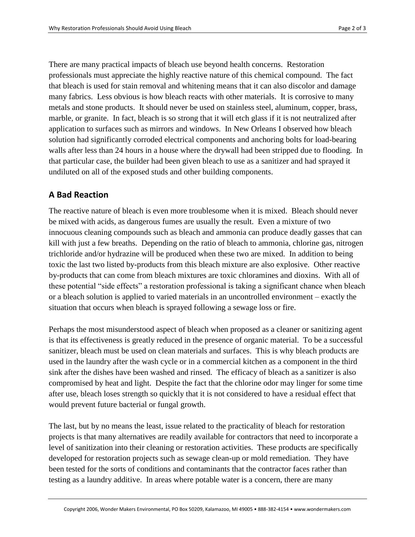There are many practical impacts of bleach use beyond health concerns. Restoration professionals must appreciate the highly reactive nature of this chemical compound. The fact that bleach is used for stain removal and whitening means that it can also discolor and damage many fabrics. Less obvious is how bleach reacts with other materials. It is corrosive to many metals and stone products. It should never be used on stainless steel, aluminum, copper, brass, marble, or granite. In fact, bleach is so strong that it will etch glass if it is not neutralized after application to surfaces such as mirrors and windows. In New Orleans I observed how bleach solution had significantly corroded electrical components and anchoring bolts for load-bearing walls after less than 24 hours in a house where the drywall had been stripped due to flooding. In that particular case, the builder had been given bleach to use as a sanitizer and had sprayed it undiluted on all of the exposed studs and other building components.

## **A Bad Reaction**

The reactive nature of bleach is even more troublesome when it is mixed. Bleach should never be mixed with acids, as dangerous fumes are usually the result. Even a mixture of two innocuous cleaning compounds such as bleach and ammonia can produce deadly gasses that can kill with just a few breaths. Depending on the ratio of bleach to ammonia, chlorine gas, nitrogen trichloride and/or hydrazine will be produced when these two are mixed. In addition to being toxic the last two listed by-products from this bleach mixture are also explosive. Other reactive by-products that can come from bleach mixtures are toxic chloramines and dioxins. With all of these potential "side effects" a restoration professional is taking a significant chance when bleach or a bleach solution is applied to varied materials in an uncontrolled environment – exactly the situation that occurs when bleach is sprayed following a sewage loss or fire.

Perhaps the most misunderstood aspect of bleach when proposed as a cleaner or sanitizing agent is that its effectiveness is greatly reduced in the presence of organic material. To be a successful sanitizer, bleach must be used on clean materials and surfaces. This is why bleach products are used in the laundry after the wash cycle or in a commercial kitchen as a component in the third sink after the dishes have been washed and rinsed. The efficacy of bleach as a sanitizer is also compromised by heat and light. Despite the fact that the chlorine odor may linger for some time after use, bleach loses strength so quickly that it is not considered to have a residual effect that would prevent future bacterial or fungal growth.

The last, but by no means the least, issue related to the practicality of bleach for restoration projects is that many alternatives are readily available for contractors that need to incorporate a level of sanitization into their cleaning or restoration activities. These products are specifically developed for restoration projects such as sewage clean-up or mold remediation. They have been tested for the sorts of conditions and contaminants that the contractor faces rather than testing as a laundry additive. In areas where potable water is a concern, there are many